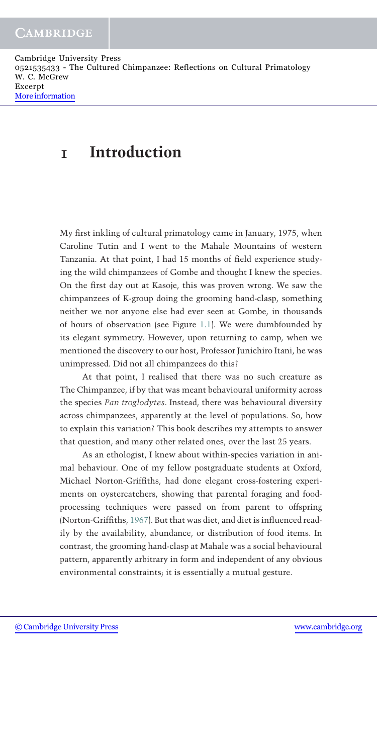# 1 **Introduction**

My first inkling of cultural primatology came in January, 1975, when Caroline Tutin and I went to the Mahale Mountains of western Tanzania. At that point, I had 15 months of field experience studying the wild chimpanzees of Gombe and thought I knew the species. On the first day out at Kasoje, this was proven wrong. We saw the chimpanzees of K-group doing the grooming hand-clasp, something neither we nor anyone else had ever seen at Gombe, in thousands of hours of observation (see Figure 1.1). We were dumbfounded by its elegant symmetry. However, upon returning to camp, when we mentioned the discovery to our host, Professor Junichiro Itani, he was unimpressed. Did not all chimpanzees do this?

At that point, I realised that there was no such creature as The Chimpanzee, if by that was meant behavioural uniformity across the species *Pan troglodytes*. Instead, there was behavioural diversity across chimpanzees, apparently at the level of populations. So, how to explain this variation? This book describes my attempts to answer that question, and many other related ones, over the last 25 years.

As an ethologist, I knew about within-species variation in animal behaviour. One of my fellow postgraduate students at Oxford, Michael Norton-Griffiths, had done elegant cross-fostering experiments on oystercatchers, showing that parental foraging and foodprocessing techniques were passed on from parent to offspring (Norton-Griffiths, 1967). But that was diet, and diet is influenced readily by the availability, abundance, or distribution of food items. In contrast, the grooming hand-clasp at Mahale was a social behavioural pattern, apparently arbitrary in form and independent of any obvious environmental constraints; it is essentially a mutual gesture.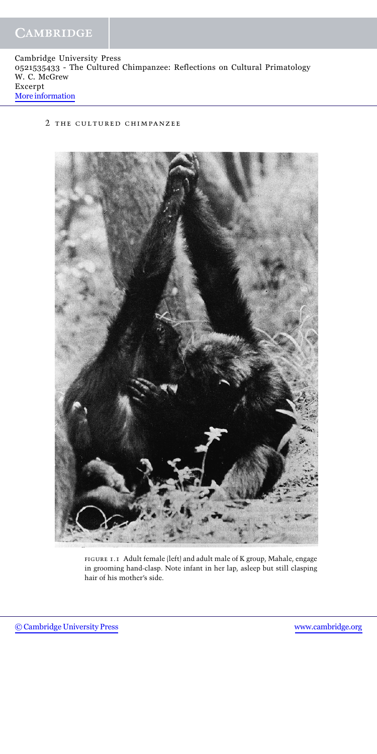2 the cultured chimpanzee



figure 1.1 Adult female (left) and adult male of K group, Mahale, engage in grooming hand-clasp. Note infant in her lap, asleep but still clasping hair of his mother's side.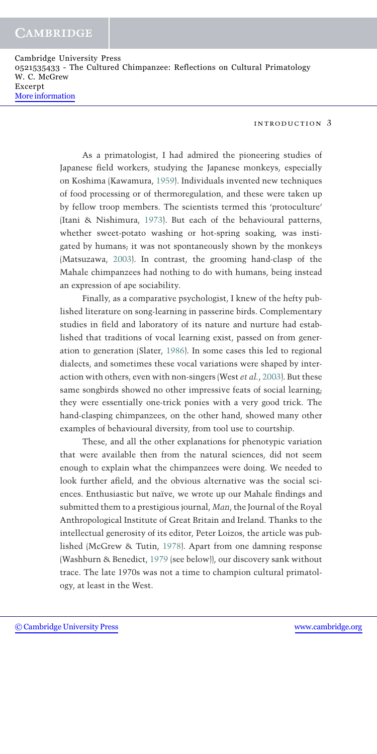#### introduction 3

As a primatologist, I had admired the pioneering studies of Japanese field workers, studying the Japanese monkeys, especially on Koshima (Kawamura, 1959). Individuals invented new techniques of food processing or of thermoregulation, and these were taken up by fellow troop members. The scientists termed this 'protoculture' (Itani & Nishimura, 1973). But each of the behavioural patterns, whether sweet-potato washing or hot-spring soaking, was instigated by humans; it was not spontaneously shown by the monkeys (Matsuzawa, 2003). In contrast, the grooming hand-clasp of the Mahale chimpanzees had nothing to do with humans, being instead an expression of ape sociability.

Finally, as a comparative psychologist, I knew of the hefty published literature on song-learning in passerine birds. Complementary studies in field and laboratory of its nature and nurture had established that traditions of vocal learning exist, passed on from generation to generation (Slater, 1986). In some cases this led to regional dialects, and sometimes these vocal variations were shaped by interaction with others, even with non-singers (West *et al.*, 2003). But these same songbirds showed no other impressive feats of social learning; they were essentially one-trick ponies with a very good trick. The hand-clasping chimpanzees, on the other hand, showed many other examples of behavioural diversity, from tool use to courtship.

These, and all the other explanations for phenotypic variation that were available then from the natural sciences, did not seem enough to explain what the chimpanzees were doing. We needed to look further afield, and the obvious alternative was the social sciences. Enthusiastic but naïve, we wrote up our Mahale findings and submitted them to a prestigious journal, *Man*, the Journal of the Royal Anthropological Institute of Great Britain and Ireland. Thanks to the intellectual generosity of its editor, Peter Loizos, the article was published (McGrew & Tutin, 1978). Apart from one damning response (Washburn & Benedict, 1979 (see below)), our discovery sank without trace. The late 1970s was not a time to champion cultural primatology, at least in the West.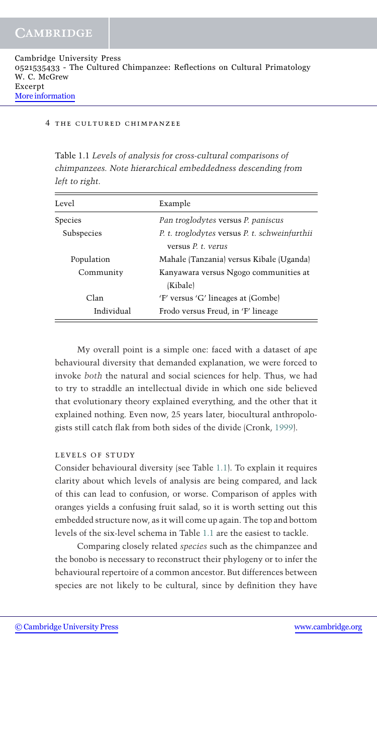# 4 the cultured chimpanzee

Table 1.1 *Levels of analysis for cross-cultural comparisons of chimpanzees. Note hierarchical embeddedness descending from left to right.*

| Level      | Example                                       |
|------------|-----------------------------------------------|
| Species    | Pan troglodytes versus P. paniscus            |
| Subspecies | P. t. troglodytes versus P. t. schweinfurthii |
|            | versus $P_{t}$ , verus                        |
| Population | Mahale (Tanzania) versus Kibale (Uganda)      |
| Community  | Kanyawara versus Ngogo communities at         |
|            | (Kibale)                                      |
| Clan       | 'F' versus 'G' lineages at (Gombe)            |
| Individual | Frodo versus Freud, in 'F' lineage            |

My overall point is a simple one: faced with a dataset of ape behavioural diversity that demanded explanation, we were forced to invoke *both* the natural and social sciences for help. Thus, we had to try to straddle an intellectual divide in which one side believed that evolutionary theory explained everything, and the other that it explained nothing. Even now, 25 years later, biocultural anthropologists still catch flak from both sides of the divide (Cronk, 1999).

# levels of study

Consider behavioural diversity (see Table 1.1). To explain it requires clarity about which levels of analysis are being compared, and lack of this can lead to confusion, or worse. Comparison of apples with oranges yields a confusing fruit salad, so it is worth setting out this embedded structure now, as it will come up again. The top and bottom levels of the six-level schema in Table 1.1 are the easiest to tackle.

Comparing closely related *species* such as the chimpanzee and the bonobo is necessary to reconstruct their phylogeny or to infer the behavioural repertoire of a common ancestor. But differences between species are not likely to be cultural, since by definition they have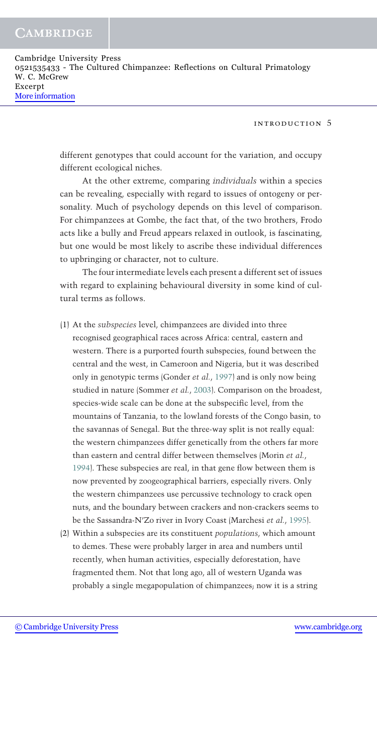#### introduction 5

different genotypes that could account for the variation, and occupy different ecological niches.

At the other extreme, comparing *individuals* within a species can be revealing, especially with regard to issues of ontogeny or personality. Much of psychology depends on this level of comparison. For chimpanzees at Gombe, the fact that, of the two brothers, Frodo acts like a bully and Freud appears relaxed in outlook, is fascinating, but one would be most likely to ascribe these individual differences to upbringing or character, not to culture.

The four intermediate levels each present a different set of issues with regard to explaining behavioural diversity in some kind of cultural terms as follows.

- (1) At the *subspecies* level, chimpanzees are divided into three recognised geographical races across Africa: central, eastern and western. There is a purported fourth subspecies, found between the central and the west, in Cameroon and Nigeria, but it was described only in genotypic terms (Gonder *et al.*, 1997) and is only now being studied in nature (Sommer *et al.*, 2003). Comparison on the broadest, species-wide scale can be done at the subspecific level, from the mountains of Tanzania, to the lowland forests of the Congo basin, to the savannas of Senegal. But the three-way split is not really equal: the western chimpanzees differ genetically from the others far more than eastern and central differ between themselves (Morin *et al.*, 1994). These subspecies are real, in that gene flow between them is now prevented by zoogeographical barriers, especially rivers. Only the western chimpanzees use percussive technology to crack open nuts, and the boundary between crackers and non-crackers seems to be the Sassandra-N'Zo river in Ivory Coast (Marchesi *et al.*, 1995).
- (2) Within a subspecies are its constituent *populations*, which amount to demes. These were probably larger in area and numbers until recently, when human activities, especially deforestation, have fragmented them. Not that long ago, all of western Uganda was probably a single megapopulation of chimpanzees; now it is a string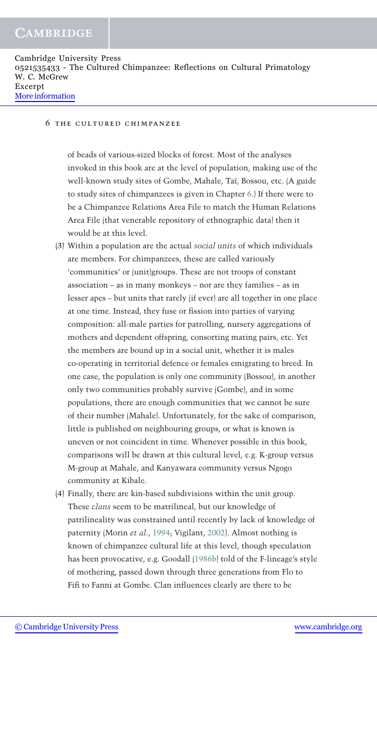## 6 the cultured chimpanzee

of beads of various-sized blocks of forest. Most of the analyses invoked in this book are at the level of population, making use of the well-known study sites of Gombe, Mahale, Taï, Bossou, etc. (A guide to study sites of chimpanzees is given in Chapter 6.) If there were to be a Chimpanzee Relations Area File to match the Human Relations Area File (that venerable repository of ethnographic data) then it would be at this level.

- (3) Within a population are the actual *social units* of which individuals are members. For chimpanzees, these are called variously 'communities' or (unit)groups. These are not troops of constant association – as in many monkeys – nor are they families – as in lesser apes – but units that rarely (if ever) are all together in one place at one time. Instead, they fuse or fission into parties of varying composition: all-male parties for patrolling, nursery aggregations of mothers and dependent offspring, consorting mating pairs, etc. Yet the members are bound up in a social unit, whether it is males co-operating in territorial defence or females emigrating to breed. In one case, the population is only one community (Bossou), in another only two communities probably survive (Gombe), and in some populations, there are enough communities that we cannot be sure of their number (Mahale). Unfortunately, for the sake of comparison, little is published on neighbouring groups, or what is known is uneven or not coincident in time. Whenever possible in this book, comparisons will be drawn at this cultural level, e.g. K-group versus M-group at Mahale, and Kanyawara community versus Ngogo community at Kibale.
- (4) Finally, there are kin-based subdivisions within the unit group. These *clans* seem to be matrilineal, but our knowledge of patrilineality was constrained until recently by lack of knowledge of paternity (Morin *et al.*, 1994; Vigilant, 2002). Almost nothing is known of chimpanzee cultural life at this level, though speculation has been provocative, e.g. Goodall (1986b) told of the F-lineage's style of mothering, passed down through three generations from Flo to Fifi to Fanni at Gombe. Clan influences clearly are there to be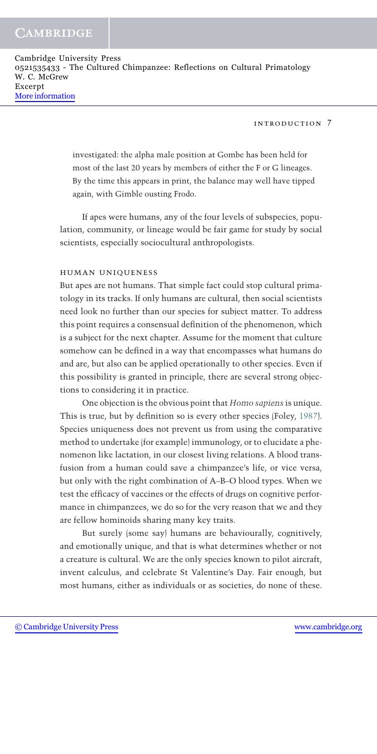introduction 7

investigated: the alpha male position at Gombe has been held for most of the last 20 years by members of either the F or G lineages. By the time this appears in print, the balance may well have tipped again, with Gimble ousting Frodo.

If apes were humans, any of the four levels of subspecies, population, community, or lineage would be fair game for study by social scientists, especially sociocultural anthropologists.

## human uniqueness

But apes are not humans. That simple fact could stop cultural primatology in its tracks. If only humans are cultural, then social scientists need look no further than our species for subject matter. To address this point requires a consensual definition of the phenomenon, which is a subject for the next chapter. Assume for the moment that culture somehow can be defined in a way that encompasses what humans do and are, but also can be applied operationally to other species. Even if this possibility is granted in principle, there are several strong objections to considering it in practice.

One objection is the obvious point that *Homo sapiens* is unique. This is true, but by definition so is every other species (Foley, 1987). Species uniqueness does not prevent us from using the comparative method to undertake (for example) immunology, or to elucidate a phenomenon like lactation, in our closest living relations. Ablood transfusion from a human could save a chimpanzee's life, or vice versa, but only with the right combination of A–B–O blood types. When we test the efficacy of vaccines or the effects of drugs on cognitive performance in chimpanzees, we do so for the very reason that we and they are fellow hominoids sharing many key traits.

But surely (some say) humans are behaviourally, cognitively, and emotionally unique, and that is what determines whether or not a creature is cultural. We are the only species known to pilot aircraft, invent calculus, and celebrate St Valentine's Day. Fair enough, but most humans, either as individuals or as societies, do none of these.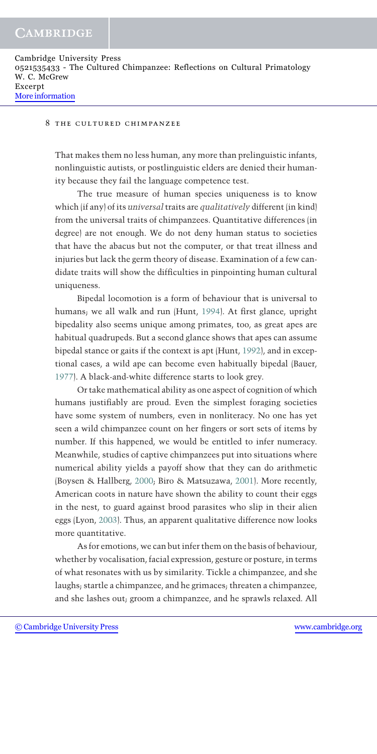#### 8 the cultured chimpanzee

That makes them no less human, any more than prelinguistic infants, nonlinguistic autists, or postlinguistic elders are denied their humanity because they fail the language competence test.

The true measure of human species uniqueness is to know which (if any) of its *universal*traits are *qualitatively* different (in kind) from the universal traits of chimpanzees. Quantitative differences (in degree) are not enough. We do not deny human status to societies that have the abacus but not the computer, or that treat illness and injuries but lack the germ theory of disease. Examination of a few candidate traits will show the difficulties in pinpointing human cultural uniqueness.

Bipedal locomotion is a form of behaviour that is universal to humans; we all walk and run (Hunt, 1994). At first glance, upright bipedality also seems unique among primates, too, as great apes are habitual quadrupeds. But a second glance shows that apes can assume bipedal stance or gaits if the context is apt (Hunt, 1992), and in exceptional cases, a wild ape can become even habitually bipedal (Bauer, 1977). Ablack-and-white difference starts to look grey.

Or take mathematical ability as one aspect of cognition of which humans justifiably are proud. Even the simplest foraging societies have some system of numbers, even in nonliteracy. No one has yet seen a wild chimpanzee count on her fingers or sort sets of items by number. If this happened, we would be entitled to infer numeracy. Meanwhile, studies of captive chimpanzees put into situations where numerical ability yields a payoff show that they can do arithmetic (Boysen & Hallberg, 2000; Biro & Matsuzawa, 2001). More recently, American coots in nature have shown the ability to count their eggs in the nest, to guard against brood parasites who slip in their alien eggs (Lyon, 2003). Thus, an apparent qualitative difference now looks more quantitative.

As for emotions, we can but infer them on the basis of behaviour, whether by vocalisation, facial expression, gesture or posture, in terms of what resonates with us by similarity. Tickle a chimpanzee, and she laughs; startle a chimpanzee, and he grimaces; threaten a chimpanzee, and she lashes out; groom a chimpanzee, and he sprawls relaxed. All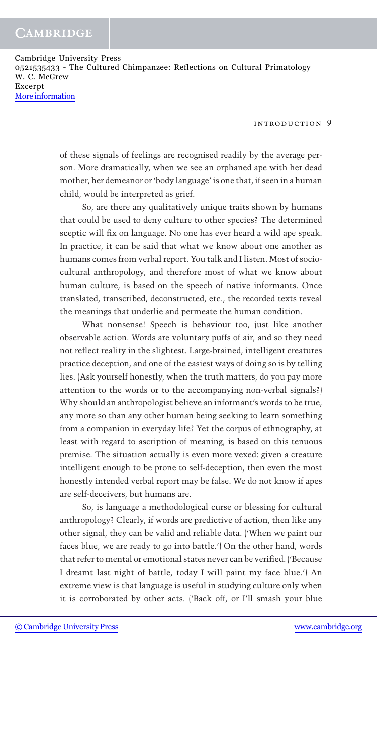#### introduction 9

of these signals of feelings are recognised readily by the average person. More dramatically, when we see an orphaned ape with her dead mother, her demeanor or 'body language' is one that, if seen in a human child, would be interpreted as grief.

So, are there any qualitatively unique traits shown by humans that could be used to deny culture to other species? The determined sceptic will fix on language. No one has ever heard a wild ape speak. In practice, it can be said that what we know about one another as humans comes from verbal report. You talk and I listen. Most of sociocultural anthropology, and therefore most of what we know about human culture, is based on the speech of native informants. Once translated, transcribed, deconstructed, etc., the recorded texts reveal the meanings that underlie and permeate the human condition.

What nonsense! Speech is behaviour too, just like another observable action. Words are voluntary puffs of air, and so they need not reflect reality in the slightest. Large-brained, intelligent creatures practice deception, and one of the easiest ways of doing so is by telling lies. (Ask yourself honestly, when the truth matters, do you pay more attention to the words or to the accompanying non-verbal signals?) Why should an anthropologist believe an informant's words to be true, any more so than any other human being seeking to learn something from a companion in everyday life? Yet the corpus of ethnography, at least with regard to ascription of meaning, is based on this tenuous premise. The situation actually is even more vexed: given a creature intelligent enough to be prone to self-deception, then even the most honestly intended verbal report may be false. We do not know if apes are self-deceivers, but humans are.

So, is language a methodological curse or blessing for cultural anthropology? Clearly, if words are predictive of action, then like any other signal, they can be valid and reliable data. ('When we paint our faces blue, we are ready to go into battle.') On the other hand, words that refer to mental or emotional states never can be verified. ('Because I dreamt last night of battle, today I will paint my face blue.') An extreme view is that language is useful in studying culture only when it is corroborated by other acts. ('Back off, or I'll smash your blue